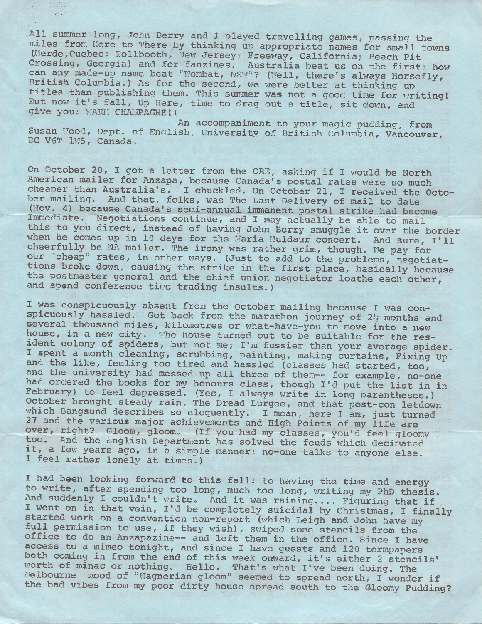All summer long, John Berry and I played travelling games, passing the miles from Here to There by thinking up appropriate names for small towns (Merde, Quebec; Tollbooth, New Jersey; Freeway, California; Peach Pit Crossing, Georgia) and for fanzines. Australia beat us on the first; how can any made-up name beat "Wombat, NSW"? (Well, there's always Horsefly, British Columbia.) As for the second, we were better at thinking up titles than publishing them. This summer was not a good time for writing! But now it's fall, Up Here, time to drag out a title, sit down, and give you: WARM CHAMPAGNE!!

An accompaniment to your magic pudding, from Susan Mood, Dept. of English, University of British Columbia, Vancouver, BC V6T 1H5, Canada.

On October 20, I got a letter from the OBE, asking if I would be North American mailer for Anzapa, because Canada's postal rates were so much cheaper than Australia's. I chuckled. On October 21, I received the October mailing. And that, folks, was The Last Delivery of mail to date (Nov. 4) because Canada's semi-annual immanent postal strike had become Immediate. Negotiations continue, and I may actually be able to mail this to you direct, instead of having John Berry smuggle it over the border when he comes up in 10 days for the Maria Muldaur concert. And sure, I'll cheerfully be NA mailer. The irony was rather grim, though. He pay for our "cheap" rates, in other ways. (Just to add to the problems, negotiattions broke down, causing the strike in the first place, basically because the postmaster general and the chief union negotiator loathe each other, and spend conference tine trading insults.)

I was conspicuously absent from the October mailing because I was conspicuously hassled. Got back from the marathon journey of *2½* months and several thousand miles, kilometres or what-have-you to move into a new house, in a new city. The house turned out to be suitable for the resident colony of spiders, but not me, I'm fussier than your average spider. I spent a month cleaning, scrubbing, painting, making curtains, Fixing Up and the like, feeling too tired and hassled (classes had started, too, and the university had messed up all three of them-- for example, no-one had ordered the books for my honours class, though I'd put the list in in February) to feel depressed. (Yes, I always write in long parentheses.) October brought steady rain, The Dread Lurgee, and that post-con letdown which Bangsund describes so eloquently. I mean, here I am, just turned 27 and the various major achievements and High Points of my life are over, right? Gloom, gloom. (If you had my classes, you'd feel gloomy too. And the English Department has solved the feuds which decimated it, a few years ago, in a simple manner: no-one talks to anyone else.<br>I feel rather lonely at times.)

I had been looking forward to this fall: to having the time and energy to write, after spending too long, much too long, writing my PhD thesis. And suddenly I couldn't write. And it was raining.... Figuring that if I went on in that vein, I'd be completely suicidal by Christmas, I finally started work on a convention non-report (which Leigh and John have my full permission to use, if they wish), swiped some stencils from the office to do an Anzapazine-- and left them in the office. Since I have access to a mimeo tonight, and since I have guests and 120 termpapers both coming in from the end of this week onward, it's either 2 stencils' worth of minac or nothing. Hello. That's what I've been doing. The Worth of minac or norning. Hello. That's what I've been doing. The<br>Melbourne mood of "Wagnerian gloom" seemed to spread north; I wonder if the bad vibes from my poor dirty house spread south to the Gloomy Pudding?